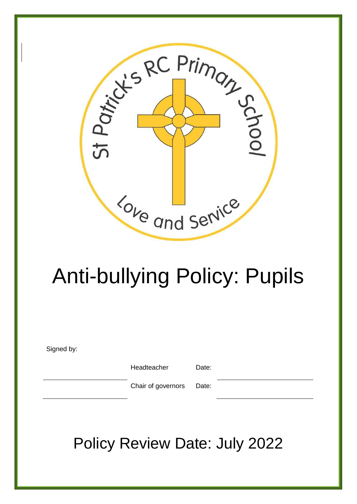

# Anti-bullying Policy: Pupils

Signed by:

Headteacher Date:

Chair of governors Date:

Policy Review Date: July 2022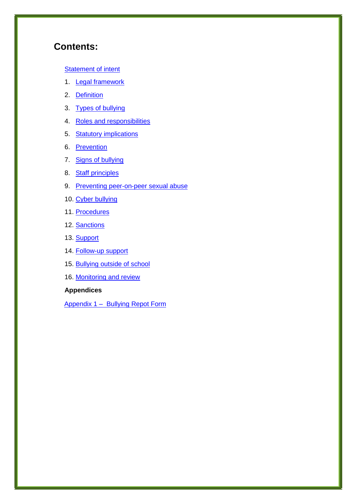# **Contents:**

#### **Statement of intent**

- 1. **Legal framework**
- 2. Definition
- 3. Types of bullying
- 4. Roles and responsibilities
- 5. **Statutory implications**
- 6. Prevention
- 7. Signs of bullying
- 8. Staff principles
- 9. Preventing peer-on-peer sexual abuse
- 10. Cyber bullying
- 11. Procedures
- 12. Sanctions
- 13. Support
- 14. Follow-up support
- 15. Bullying outside of school
- 16. Monitoring and review

#### **Appendices**

Appendix 1 – Bullying Repot Form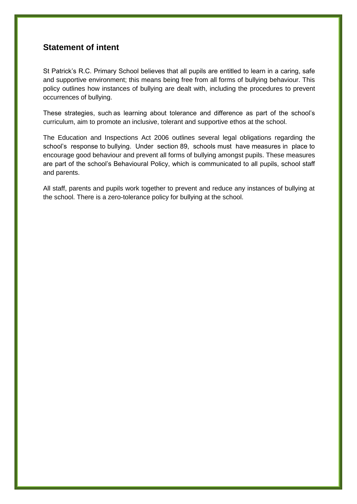## **Statement of intent**

St Patrick's R.C. Primary School believes that all pupils are entitled to learn in a caring, safe and supportive environment; this means being free from all forms of bullying behaviour. This policy outlines how instances of bullying are dealt with, including the procedures to prevent occurrences of bullying.

These strategies, such as learning about tolerance and difference as part of the school's curriculum, aim to promote an inclusive, tolerant and supportive ethos at the school.

The Education and Inspections Act 2006 outlines several legal obligations regarding the school's response to bullying. Under section 89, schools must have measures in place to encourage good behaviour and prevent all forms of bullying amongst pupils. These measures are part of the school's Behavioural Policy, which is communicated to all pupils, school staff and parents.

All staff, parents and pupils work together to prevent and reduce any instances of bullying at the school. There is a zero-tolerance policy for bullying at the school.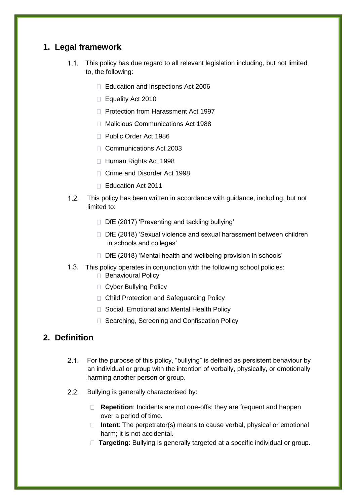# **1. Legal framework**

- 1.1. This policy has due regard to all relevant legislation including, but not limited to, the following:
	- Education and Inspections Act 2006
	- $\Box$  Equality Act 2010
	- □ Protection from Harassment Act 1997
	- □ Malicious Communications Act 1988
	- □ Public Order Act 1986
	- □ Communications Act 2003
	- □ Human Rights Act 1998
	- □ Crime and Disorder Act 1998
	- Education Act 2011
- This policy has been written in accordance with guidance, including, but not limited to:
	- $\Box$  DfE (2017) 'Preventing and tackling bullying'
	- DfE (2018) 'Sexual violence and sexual harassment between children in schools and colleges'
	- D DfE (2018) 'Mental health and wellbeing provision in schools'
- 1.3. This policy operates in conjunction with the following school policies:
	- □ Behavioural Policy
	- □ Cyber Bullying Policy
	- □ Child Protection and Safeguarding Policy
	- □ Social, Emotional and Mental Health Policy
	- □ Searching, Screening and Confiscation Policy

# **2. Definition**

- For the purpose of this policy, "bullying" is defined as persistent behaviour by an individual or group with the intention of verbally, physically, or emotionally harming another person or group.
- 2.2. Bullying is generally characterised by:
	- **Repetition**: Incidents are not one-offs; they are frequent and happen over a period of time.
	- □ Intent: The perpetrator(s) means to cause verbal, physical or emotional harm; it is not accidental.
	- **Targeting**: Bullying is generally targeted at a specific individual or group.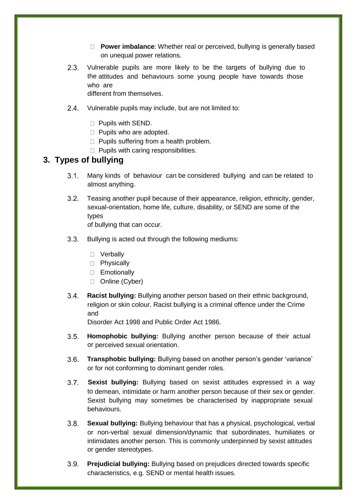- **Power imbalance**: Whether real or perceived, bullying is generally based on unequal power relations.
- 2.3. Vulnerable pupils are more likely to be the targets of bullying due to the attitudes and behaviours some young people have towards those who are

different from themselves.

- 2.4. Vulnerable pupils may include, but are not limited to:
	- **Pupils with SEND.**
	- $\Box$  Pupils who are adopted.
	- $\Box$  Pupils suffering from a health problem.
	- $\Box$  Pupils with caring responsibilities.

## **3. Types of bullying**

- Many kinds of behaviour can be considered bullying and can be related to almost anything.
- Teasing another pupil because of their appearance, religion, ethnicity, gender, sexual-orientation, home life, culture, disability, or SEND are some of the types of bullying that can occur.
- 3.3. Bullying is acted out through the following mediums:
	- D Verbally
	- D Physically
	- **Emotionally**
	- D Online (Cyber)
- **Racist bullying:** Bullying another person based on their ethnic background, religion or skin colour. Racist bullying is a criminal offence under the Crime and

Disorder Act 1998 and Public Order Act 1986.

- **Homophobic bullying:** Bullying another person because of their actual or perceived sexual orientation.
- **Transphobic bullying:** Bullying based on another person's gender 'variance' or for not conforming to dominant gender roles.
- **Sexist bullying:** Bullying based on sexist attitudes expressed in a way to demean, intimidate or harm another person because of their sex or gender. Sexist bullying may sometimes be characterised by inappropriate sexual behaviours.
- **Sexual bullying:** Bullying behaviour that has a physical, psychological, verbal or non-verbal sexual dimension/dynamic that subordinates, humiliates or intimidates another person. This is commonly underpinned by sexist attitudes or gender stereotypes.
- **Prejudicial bullying:** Bullying based on prejudices directed towards specific characteristics, e.g. SEND or mental health issues.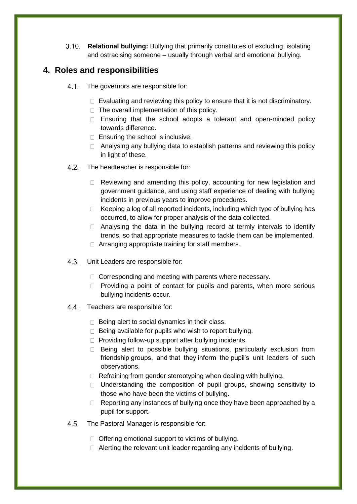**Relational bullying:** Bullying that primarily constitutes of excluding, isolating and ostracising someone – usually through verbal and emotional bullying.

## **4. Roles and responsibilities**

- 4.1. The governors are responsible for:
	- $\Box$  Evaluating and reviewing this policy to ensure that it is not discriminatory.
	- $\Box$  The overall implementation of this policy.
	- $\Box$  Ensuring that the school adopts a tolerant and open-minded policy towards difference.
	- $\Box$  Ensuring the school is inclusive.
	- □ Analysing any bullying data to establish patterns and reviewing this policy in light of these.
- 4.2. The headteacher is responsible for:
	- $\Box$  Reviewing and amending this policy, accounting for new legislation and government guidance, and using staff experience of dealing with bullying incidents in previous years to improve procedures.
	- $\Box$  Keeping a log of all reported incidents, including which type of bullying has occurred, to allow for proper analysis of the data collected.
	- $\Box$  Analysing the data in the bullying record at termly intervals to identify trends, so that appropriate measures to tackle them can be implemented.
	- $\Box$  Arranging appropriate training for staff members.
- Unit Leaders are responsible for:
	- $\Box$  Corresponding and meeting with parents where necessary.
	- $\Box$  Providing a point of contact for pupils and parents, when more serious bullying incidents occur.
- 4.4. Teachers are responsible for:
	- $\Box$  Being alert to social dynamics in their class.
	- $\Box$  Being available for pupils who wish to report bullying.
	- $\Box$  Providing follow-up support after bullying incidents.
	- □ Being alert to possible bullying situations, particularly exclusion from friendship groups, and that they inform the pupil's unit leaders of such observations.
	- $\Box$  Refraining from gender stereotyping when dealing with bullying.
	- $\Box$  Understanding the composition of pupil groups, showing sensitivity to those who have been the victims of bullying.
	- $\Box$  Reporting any instances of bullying once they have been approached by a pupil for support.
- 4.5. The Pastoral Manager is responsible for:
	- $\Box$  Offering emotional support to victims of bullying.
	- $\Box$  Alerting the relevant unit leader regarding any incidents of bullying.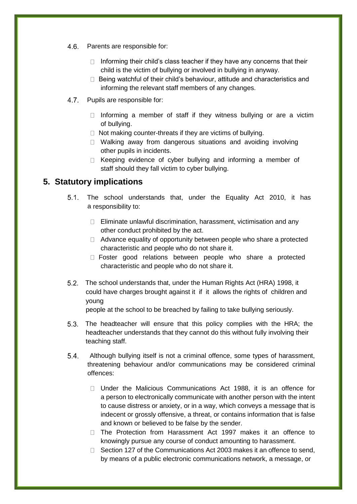- 4.6. Parents are responsible for:
	- $\Box$  Informing their child's class teacher if they have any concerns that their child is the victim of bullying or involved in bullying in anyway.
	- $\Box$  Being watchful of their child's behaviour, attitude and characteristics and informing the relevant staff members of any changes.
- 4.7. Pupils are responsible for:
	- $\Box$  Informing a member of staff if they witness bullying or are a victim of bullying.
	- $\Box$  Not making counter-threats if they are victims of bullying.
	- □ Walking away from dangerous situations and avoiding involving other pupils in incidents.
	- $\Box$  Keeping evidence of cyber bullying and informing a member of staff should they fall victim to cyber bullying.

# **5. Statutory implications**

- 5.1. The school understands that, under the Equality Act 2010, it has a responsibility to:
	- $\Box$  Eliminate unlawful discrimination, harassment, victimisation and any other conduct prohibited by the act.
	- $\Box$  Advance equality of opportunity between people who share a protected characteristic and people who do not share it.
	- Foster good relations between people who share a protected characteristic and people who do not share it.
- 5.2. The school understands that, under the Human Rights Act (HRA) 1998, it could have charges brought against it if it allows the rights of children and young

people at the school to be breached by failing to take bullying seriously.

- 5.3. The headteacher will ensure that this policy complies with the HRA; the headteacher understands that they cannot do this without fully involving their teaching staff.
- Although bullying itself is not a criminal offence, some types of harassment, threatening behaviour and/or communications may be considered criminal offences:
	- Under the Malicious Communications Act 1988, it is an offence for a person to electronically communicate with another person with the intent to cause distress or anxiety, or in a way, which conveys a message that is indecent or grossly offensive, a threat, or contains information that is false and known or believed to be false by the sender.
	- $\Box$  The Protection from Harassment Act 1997 makes it an offence to knowingly pursue any course of conduct amounting to harassment.
	- $\Box$  Section 127 of the Communications Act 2003 makes it an offence to send, by means of a public electronic communications network, a message, or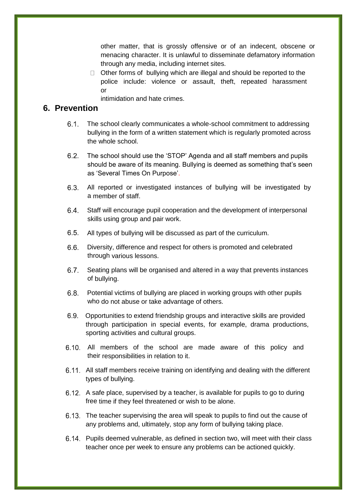other matter, that is grossly offensive or of an indecent, obscene or menacing character. It is unlawful to disseminate defamatory information through any media, including internet sites.

 $\Box$  Other forms of bullying which are illegal and should be reported to the police include: violence or assault, theft, repeated harassment or

intimidation and hate crimes.

### **6. Prevention**

- The school clearly communicates a whole-school commitment to addressing bullying in the form of a written statement which is regularly promoted across the whole school.
- The school should use the 'STOP' Agenda and all staff members and pupils should be aware of its meaning. Bullying is deemed as something that's seen as 'Several Times On Purpose'.
- All reported or investigated instances of bullying will be investigated by a member of staff.
- Staff will encourage pupil cooperation and the development of interpersonal skills using group and pair work.
- All types of bullying will be discussed as part of the curriculum.
- 6.6. Diversity, difference and respect for others is promoted and celebrated through various lessons.
- Seating plans will be organised and altered in a way that prevents instances of bullying.
- Potential victims of bullying are placed in working groups with other pupils who do not abuse or take advantage of others.
- Opportunities to extend friendship groups and interactive skills are provided through participation in special events, for example, drama productions, sporting activities and cultural groups.
- 6.10. All members of the school are made aware of this policy and their responsibilities in relation to it.
- 6.11. All staff members receive training on identifying and dealing with the different types of bullying.
- 6.12. A safe place, supervised by a teacher, is available for pupils to go to during free time if they feel threatened or wish to be alone.
- 6.13. The teacher supervising the area will speak to pupils to find out the cause of any problems and, ultimately, stop any form of bullying taking place.
- 6.14. Pupils deemed vulnerable, as defined in section two, will meet with their class teacher once per week to ensure any problems can be actioned quickly.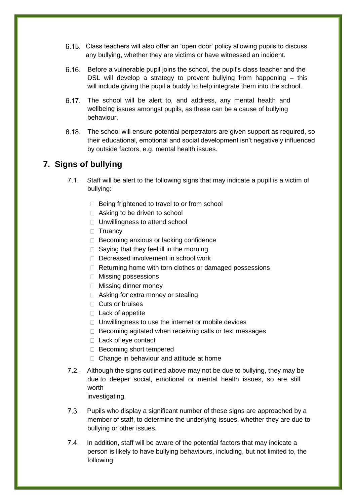- Class teachers will also offer an 'open door' policy allowing pupils to discuss any bullying, whether they are victims or have witnessed an incident.
- Before a vulnerable pupil joins the school, the pupil's class teacher and the DSL will develop a strategy to prevent bullying from happening – this will include giving the pupil a buddy to help integrate them into the school.
- 6.17. The school will be alert to, and address, any mental health and wellbeing issues amongst pupils, as these can be a cause of bullying behaviour.
- The school will ensure potential perpetrators are given support as required, so their educational, emotional and social development isn't negatively influenced by outside factors, e.g. mental health issues.

# **7. Signs of bullying**

- Staff will be alert to the following signs that may indicate a pupil is a victim of bullying:
	- $\Box$  Being frightened to travel to or from school
	- □ Asking to be driven to school
	- □ Unwillingness to attend school
	- $\Box$  Truancy
	- $\Box$  Becoming anxious or lacking confidence
	- $\Box$  Saying that they feel ill in the morning
	- D Decreased involvement in school work
	- $\Box$  Returning home with torn clothes or damaged possessions
	- □ Missing possessions
	- □ Missing dinner money
	- □ Asking for extra money or stealing
	- □ Cuts or bruises
	- $\Box$  Lack of appetite
	- $\Box$  Unwillingness to use the internet or mobile devices
	- $\Box$  Becoming agitated when receiving calls or text messages
	- □ Lack of eye contact
	- □ Becoming short tempered
	- $\Box$  Change in behaviour and attitude at home
- 7.2. Although the signs outlined above may not be due to bullying, they may be due to deeper social, emotional or mental health issues, so are still worth investigating.
	-
- Pupils who display a significant number of these signs are approached by a member of staff, to determine the underlying issues, whether they are due to bullying or other issues.
- 7.4. In addition, staff will be aware of the potential factors that may indicate a person is likely to have bullying behaviours, including, but not limited to, the following: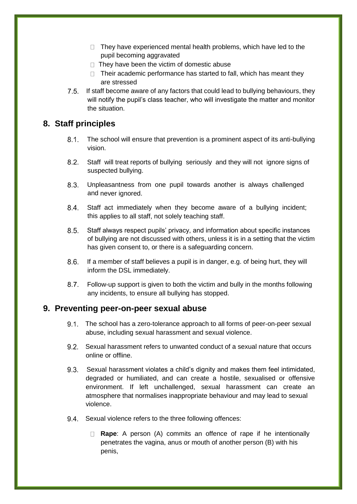- $\Box$  They have experienced mental health problems, which have led to the pupil becoming aggravated
- $\Box$  They have been the victim of domestic abuse
- $\Box$  Their academic performance has started to fall, which has meant they are stressed
- 7.5. If staff become aware of any factors that could lead to bullying behaviours, they will notify the pupil's class teacher, who will investigate the matter and monitor the situation.

## **8. Staff principles**

- 8.1. The school will ensure that prevention is a prominent aspect of its anti-bullying vision.
- Staff will treat reports of bullying seriously and they will not ignore signs of suspected bullying.
- Unpleasantness from one pupil towards another is always challenged and never ignored.
- Staff act immediately when they become aware of a bullying incident; this applies to all staff, not solely teaching staff.
- Staff always respect pupils' privacy, and information about specific instances of bullying are not discussed with others, unless it is in a setting that the victim has given consent to, or there is a safeguarding concern.
- If a member of staff believes a pupil is in danger, e.g. of being hurt, they will inform the DSL immediately.
- Follow-up support is given to both the victim and bully in the months following any incidents, to ensure all bullying has stopped.

### **9. Preventing peer-on-peer sexual abuse**

- 9.1. The school has a zero-tolerance approach to all forms of peer-on-peer sexual abuse, including sexual harassment and sexual violence.
- Sexual harassment refers to unwanted conduct of a sexual nature that occurs online or offline.
- Sexual harassment violates a child's dignity and makes them feel intimidated, degraded or humiliated, and can create a hostile, sexualised or offensive environment. If left unchallenged, sexual harassment can create an atmosphere that normalises inappropriate behaviour and may lead to sexual violence.
- 9.4. Sexual violence refers to the three following offences:
	- **Rape**: A person (A) commits an offence of rape if he intentionally penetrates the vagina, anus or mouth of another person (B) with his penis,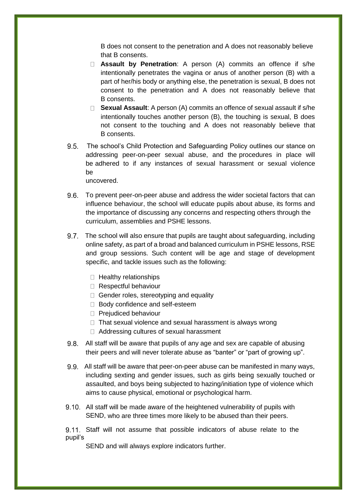B does not consent to the penetration and A does not reasonably believe that B consents.

- **Assault by Penetration**: A person (A) commits an offence if s/he intentionally penetrates the vagina or anus of another person (B) with a part of her/his body or anything else, the penetration is sexual, B does not consent to the penetration and A does not reasonably believe that B consents.
- **Sexual Assault**: A person (A) commits an offence of sexual assault if s/he intentionally touches another person (B), the touching is sexual, B does not consent to the touching and A does not reasonably believe that B consents.
- 9.5. The school's Child Protection and Safeguarding Policy outlines our stance on addressing peer-on-peer sexual abuse, and the procedures in place will be adhered to if any instances of sexual harassment or sexual violence be

uncovered.

- To prevent peer-on-peer abuse and address the wider societal factors that can influence behaviour, the school will educate pupils about abuse, its forms and the importance of discussing any concerns and respecting others through the curriculum, assemblies and PSHE lessons.
- 9.7. The school will also ensure that pupils are taught about safeguarding, including online safety, as part of a broad and balanced curriculum in PSHE lessons, RSE and group sessions. Such content will be age and stage of development specific, and tackle issues such as the following:
	- $\Box$  Healthy relationships
	- Respectful behaviour
	- $\Box$  Gender roles, stereotyping and equality
	- □ Body confidence and self-esteem
	- **Prejudiced behaviour**
	- $\Box$  That sexual violence and sexual harassment is always wrong
	- □ Addressing cultures of sexual harassment
- 9.8. All staff will be aware that pupils of any age and sex are capable of abusing their peers and will never tolerate abuse as "banter" or "part of growing up".
- All staff will be aware that peer-on-peer abuse can be manifested in many ways, including sexting and gender issues, such as girls being sexually touched or assaulted, and boys being subjected to hazing/initiation type of violence which aims to cause physical, emotional or psychological harm.
- 9.10. All staff will be made aware of the heightened vulnerability of pupils with SEND, who are three times more likely to be abused than their peers.

 Staff will not assume that possible indicators of abuse relate to the pupil's

SEND and will always explore indicators further.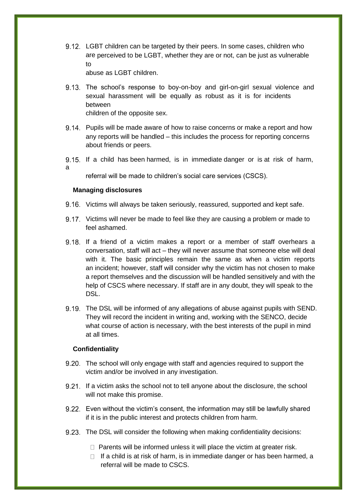9.12. LGBT children can be targeted by their peers. In some cases, children who are perceived to be LGBT, whether they are or not, can be just as vulnerable to

abuse as LGBT children.

- 9.13. The school's response to boy-on-boy and girl-on-girl sexual violence and sexual harassment will be equally as robust as it is for incidents between children of the opposite sex.
- 9.14. Pupils will be made aware of how to raise concerns or make a report and how any reports will be handled – this includes the process for reporting concerns about friends or peers.
- 9.15. If a child has been harmed, is in immediate danger or is at risk of harm, a

referral will be made to children's social care services (CSCS).

#### **Managing disclosures**

- 9.16. Victims will always be taken seriously, reassured, supported and kept safe.
- 9.17. Victims will never be made to feel like they are causing a problem or made to feel ashamed.
- 9.18. If a friend of a victim makes a report or a member of staff overhears a conversation, staff will act – they will never assume that someone else will deal with it. The basic principles remain the same as when a victim reports an incident; however, staff will consider why the victim has not chosen to make a report themselves and the discussion will be handled sensitively and with the help of CSCS where necessary. If staff are in any doubt, they will speak to the DSL.
- 9.19. The DSL will be informed of any allegations of abuse against pupils with SEND. They will record the incident in writing and, working with the SENCO, decide what course of action is necessary, with the best interests of the pupil in mind at all times.

#### **Confidentiality**

- 9.20. The school will only engage with staff and agencies required to support the victim and/or be involved in any investigation.
- 9.21. If a victim asks the school not to tell anyone about the disclosure, the school will not make this promise.
- Even without the victim's consent, the information may still be lawfully shared if it is in the public interest and protects children from harm.
- 9.23. The DSL will consider the following when making confidentiality decisions:
	- $\Box$  Parents will be informed unless it will place the victim at greater risk.
	- $\Box$  If a child is at risk of harm, is in immediate danger or has been harmed, a referral will be made to CSCS.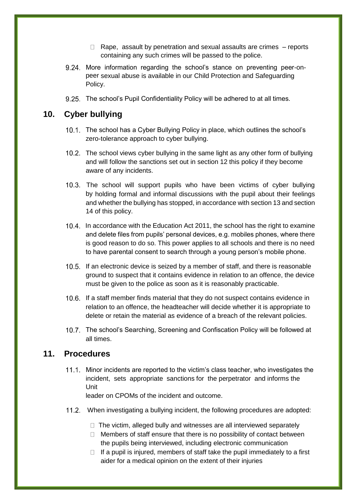- $\Box$  Rape, assault by penetration and sexual assaults are crimes  $-$  reports containing any such crimes will be passed to the police.
- 9.24. More information regarding the school's stance on preventing peer-onpeer sexual abuse is available in our Child Protection and Safeguarding Policy.
- 9.25. The school's Pupil Confidentiality Policy will be adhered to at all times.

## **10. Cyber bullying**

- 10.1. The school has a Cyber Bullying Policy in place, which outlines the school's zero-tolerance approach to cyber bullying.
- 10.2. The school views cyber bullying in the same light as any other form of bullying and will follow the sanctions set out in section 12 this policy if they become aware of any incidents.
- 10.3. The school will support pupils who have been victims of cyber bullying by holding formal and informal discussions with the pupil about their feelings and whether the bullying has stopped, in accordance with section 13 and section 14 of this policy.
- 10.4. In accordance with the Education Act 2011, the school has the right to examine and delete files from pupils' personal devices, e.g. mobiles phones, where there is good reason to do so. This power applies to all schools and there is no need to have parental consent to search through a young person's mobile phone.
- 10.5. If an electronic device is seized by a member of staff, and there is reasonable ground to suspect that it contains evidence in relation to an offence, the device must be given to the police as soon as it is reasonably practicable.
- 10.6. If a staff member finds material that they do not suspect contains evidence in relation to an offence, the headteacher will decide whether it is appropriate to delete or retain the material as evidence of a breach of the relevant policies.
- 10.7. The school's Searching, Screening and Confiscation Policy will be followed at all times.

## **11. Procedures**

11.1. Minor incidents are reported to the victim's class teacher, who investigates the incident, sets appropriate sanctions for the perpetrator and informs the Unit

leader on CPOMs of the incident and outcome.

- When investigating a bullying incident, the following procedures are adopted:
	- $\Box$  The victim, alleged bully and witnesses are all interviewed separately
	- $\Box$  Members of staff ensure that there is no possibility of contact between the pupils being interviewed, including electronic communication
	- $\Box$  If a pupil is injured, members of staff take the pupil immediately to a first aider for a medical opinion on the extent of their injuries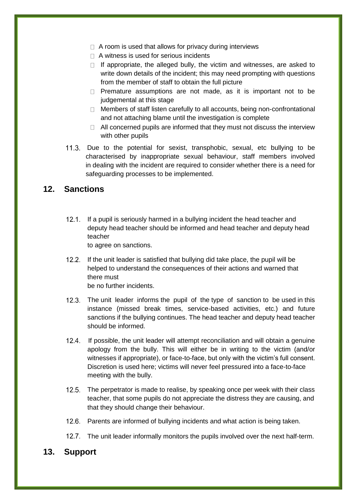- $\Box$  A room is used that allows for privacy during interviews
- $\Box$  A witness is used for serious incidents
- $\Box$  If appropriate, the alleged bully, the victim and witnesses, are asked to write down details of the incident; this may need prompting with questions from the member of staff to obtain the full picture
- $\Box$  Premature assumptions are not made, as it is important not to be judgemental at this stage
- $\Box$  Members of staff listen carefully to all accounts, being non-confrontational and not attaching blame until the investigation is complete
- $\Box$  All concerned pupils are informed that they must not discuss the interview with other pupils
- 11.3. Due to the potential for sexist, transphobic, sexual, etc bullying to be characterised by inappropriate sexual behaviour, staff members involved in dealing with the incident are required to consider whether there is a need for safeguarding processes to be implemented.

## **12. Sanctions**

12.1. If a pupil is seriously harmed in a bullying incident the head teacher and deputy head teacher should be informed and head teacher and deputy head teacher

to agree on sanctions.

12.2. If the unit leader is satisfied that bullying did take place, the pupil will be helped to understand the consequences of their actions and warned that there must be no further incidents.

- 12.3. The unit leader informs the pupil of the type of sanction to be used in this instance (missed break times, service-based activities, etc.) and future sanctions if the bullying continues. The head teacher and deputy head teacher should be informed.
- 12.4. If possible, the unit leader will attempt reconciliation and will obtain a genuine apology from the bully. This will either be in writing to the victim (and/or witnesses if appropriate), or face-to-face, but only with the victim's full consent. Discretion is used here; victims will never feel pressured into a face-to-face meeting with the bully.
- 12.5. The perpetrator is made to realise, by speaking once per week with their class teacher, that some pupils do not appreciate the distress they are causing, and that they should change their behaviour.
- 12.6. Parents are informed of bullying incidents and what action is being taken.
- 12.7. The unit leader informally monitors the pupils involved over the next half-term.

#### **13. Support**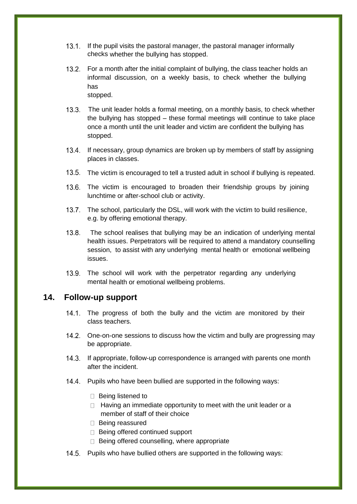- 13.1. If the pupil visits the pastoral manager, the pastoral manager informally checks whether the bullying has stopped.
- 13.2. For a month after the initial complaint of bullying, the class teacher holds an informal discussion, on a weekly basis, to check whether the bullying has stopped.
- The unit leader holds a formal meeting, on a monthly basis, to check whether the bullying has stopped – these formal meetings will continue to take place once a month until the unit leader and victim are confident the bullying has stopped.
- 13.4. If necessary, group dynamics are broken up by members of staff by assigning places in classes.
- 13.5. The victim is encouraged to tell a trusted adult in school if bullying is repeated.
- 13.6. The victim is encouraged to broaden their friendship groups by joining lunchtime or after-school club or activity.
- 13.7. The school, particularly the DSL, will work with the victim to build resilience, e.g. by offering emotional therapy.
- 13.8. The school realises that bullying may be an indication of underlying mental health issues. Perpetrators will be required to attend a mandatory counselling session, to assist with any underlying mental health or emotional wellbeing issues.
- 13.9. The school will work with the perpetrator regarding any underlying mental health or emotional wellbeing problems.

#### **14. Follow-up support**

- 14.1. The progress of both the bully and the victim are monitored by their class teachers.
- 14.2. One-on-one sessions to discuss how the victim and bully are progressing may be appropriate.
- If appropriate, follow-up correspondence is arranged with parents one month after the incident.
- 14.4. Pupils who have been bullied are supported in the following ways:
	- $\Box$  Being listened to
	- $\Box$  Having an immediate opportunity to meet with the unit leader or a member of staff of their choice
	- □ Being reassured
	- □ Being offered continued support
	- $\Box$  Being offered counselling, where appropriate
- 14.5. Pupils who have bullied others are supported in the following ways: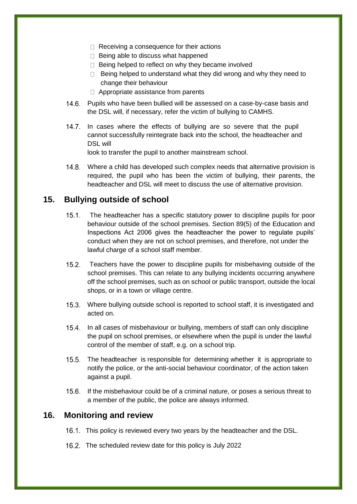- $\Box$  Receiving a consequence for their actions
- $\Box$  Being able to discuss what happened
- $\Box$  Being helped to reflect on why they became involved
- $\Box$  Being helped to understand what they did wrong and why they need to change their behaviour
- $\Box$  Appropriate assistance from parents
- 14.6. Pupils who have been bullied will be assessed on a case-by-case basis and the DSL will, if necessary, refer the victim of bullying to CAMHS.
- 14.7. In cases where the effects of bullying are so severe that the pupil cannot successfully reintegrate back into the school, the headteacher and DSL will

look to transfer the pupil to another mainstream school.

 Where a child has developed such complex needs that alternative provision is required, the pupil who has been the victim of bullying, their parents, the headteacher and DSL will meet to discuss the use of alternative provision.

#### **15. Bullying outside of school**

- 15.1. The headteacher has a specific statutory power to discipline pupils for poor behaviour outside of the school premises. Section 89(5) of the Education and Inspections Act 2006 gives the headteacher the power to regulate pupils' conduct when they are not on school premises, and therefore, not under the lawful charge of a school staff member.
- 15.2. Teachers have the power to discipline pupils for misbehaving outside of the school premises. This can relate to any bullying incidents occurring anywhere off the school premises, such as on school or public transport, outside the local shops, or in a town or village centre.
- Where bullying outside school is reported to school staff, it is investigated and acted on.
- 15.4. In all cases of misbehaviour or bullying, members of staff can only discipline the pupil on school premises, or elsewhere when the pupil is under the lawful control of the member of staff, e.g. on a school trip.
- 15.5. The headteacher is responsible for determining whether it is appropriate to notify the police, or the anti-social behaviour coordinator, of the action taken against a pupil.
- If the misbehaviour could be of a criminal nature, or poses a serious threat to a member of the public, the police are always informed.

#### **16. Monitoring and review**

- 16.1. This policy is reviewed every two years by the headteacher and the DSL.
- 16.2. The scheduled review date for this policy is July 2022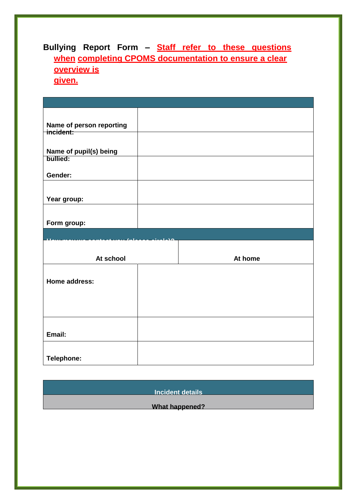# **Bullying Report Form – Staff refer to these questions when completing CPOMS documentation to ensure a clear overview is given.**

| Name of person reporting<br>incident: |  |         |  |
|---------------------------------------|--|---------|--|
|                                       |  |         |  |
| Name of pupil(s) being                |  |         |  |
| bullied:                              |  |         |  |
| Gender:                               |  |         |  |
|                                       |  |         |  |
| Year group:                           |  |         |  |
|                                       |  |         |  |
| Form group:                           |  |         |  |
|                                       |  |         |  |
|                                       |  |         |  |
|                                       |  |         |  |
| At school                             |  | At home |  |
|                                       |  |         |  |
| Home address:                         |  |         |  |
|                                       |  |         |  |
|                                       |  |         |  |
|                                       |  |         |  |
|                                       |  |         |  |
| Email:                                |  |         |  |

**Incident details**

**What happened?**